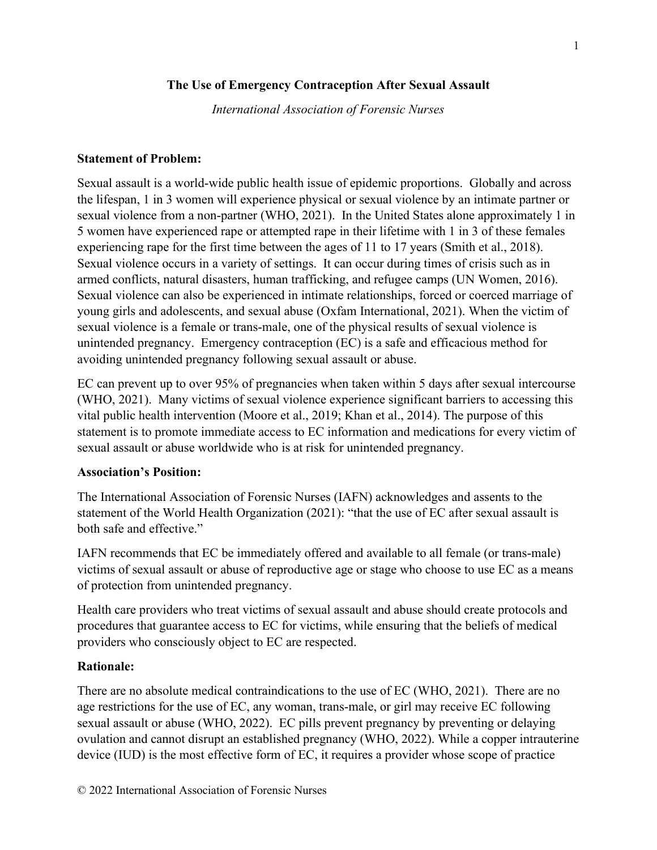### **The Use of Emergency Contraception After Sexual Assault**

*International Association of Forensic Nurses*

## **Statement of Problem:**

Sexual assault is a world-wide public health issue of epidemic proportions. Globally and across the lifespan, 1 in 3 women will experience physical or sexual violence by an intimate partner or sexual violence from a non-partner (WHO, 2021). In the United States alone approximately 1 in 5 women have experienced rape or attempted rape in their lifetime with 1 in 3 of these females experiencing rape for the first time between the ages of 11 to 17 years (Smith et al., 2018). Sexual violence occurs in a variety of settings. It can occur during times of crisis such as in armed conflicts, natural disasters, human trafficking, and refugee camps (UN Women, 2016). Sexual violence can also be experienced in intimate relationships, forced or coerced marriage of young girls and adolescents, and sexual abuse (Oxfam International, 2021). When the victim of sexual violence is a female or trans-male, one of the physical results of sexual violence is unintended pregnancy. Emergency contraception (EC) is a safe and efficacious method for avoiding unintended pregnancy following sexual assault or abuse.

EC can prevent up to over 95% of pregnancies when taken within 5 days after sexual intercourse (WHO, 2021). Many victims of sexual violence experience significant barriers to accessing this vital public health intervention (Moore et al., 2019; Khan et al., 2014). The purpose of this statement is to promote immediate access to EC information and medications for every victim of sexual assault or abuse worldwide who is at risk for unintended pregnancy.

### **Association's Position:**

The International Association of Forensic Nurses (IAFN) acknowledges and assents to the statement of the World Health Organization (2021): "that the use of EC after sexual assault is both safe and effective."

IAFN recommends that EC be immediately offered and available to all female (or trans-male) victims of sexual assault or abuse of reproductive age or stage who choose to use EC as a means of protection from unintended pregnancy.

Health care providers who treat victims of sexual assault and abuse should create protocols and procedures that guarantee access to EC for victims, while ensuring that the beliefs of medical providers who consciously object to EC are respected.

# **Rationale:**

There are no absolute medical contraindications to the use of EC (WHO, 2021). There are no age restrictions for the use of EC, any woman, trans-male, or girl may receive EC following sexual assault or abuse (WHO, 2022). EC pills prevent pregnancy by preventing or delaying ovulation and cannot disrupt an established pregnancy (WHO, 2022). While a copper intrauterine device (IUD) is the most effective form of EC, it requires a provider whose scope of practice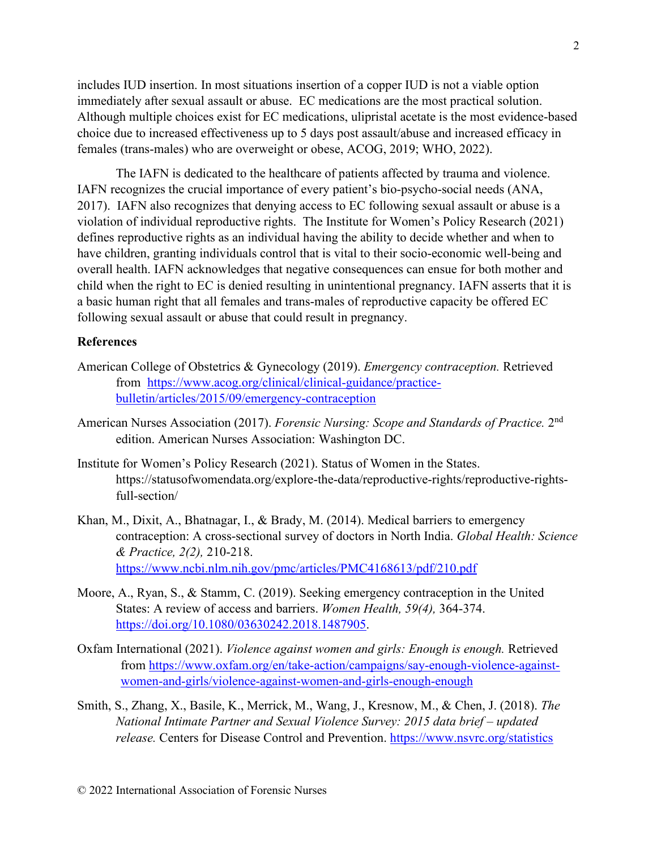includes IUD insertion. In most situations insertion of a copper IUD is not a viable option immediately after sexual assault or abuse. EC medications are the most practical solution. Although multiple choices exist for EC medications, ulipristal acetate is the most evidence-based choice due to increased effectiveness up to 5 days post assault/abuse and increased efficacy in females (trans-males) who are overweight or obese, ACOG, 2019; WHO, 2022).

The IAFN is dedicated to the healthcare of patients affected by trauma and violence. IAFN recognizes the crucial importance of every patient's bio-psycho-social needs (ANA, 2017). IAFN also recognizes that denying access to EC following sexual assault or abuse is a violation of individual reproductive rights. The Institute for Women's Policy Research (2021) defines reproductive rights as an individual having the ability to decide whether and when to have children, granting individuals control that is vital to their socio-economic well-being and overall health. IAFN acknowledges that negative consequences can ensue for both mother and child when the right to EC is denied resulting in unintentional pregnancy. IAFN asserts that it is a basic human right that all females and trans-males of reproductive capacity be offered EC following sexual assault or abuse that could result in pregnancy.

#### **References**

- American College of Obstetrics & Gynecology (2019). *Emergency contraception.* Retrieved from [https://www.acog.org/clinical/clinical-guidance/practice](https://www.acog.org/clinical/clinical-guidance/practice-bulletin/articles/2015/09/emergency-contraception)[bulletin/articles/2015/09/emergency-contraception](https://www.acog.org/clinical/clinical-guidance/practice-bulletin/articles/2015/09/emergency-contraception)
- American Nurses Association (2017). *Forensic Nursing: Scope and Standards of Practice.* 2nd edition. American Nurses Association: Washington DC.
- Institute for Women's Policy Research (2021). Status of Women in the States. https://statusofwomendata.org/explore-the-data/reproductive-rights/reproductive-rightsfull-section/
- Khan, M., Dixit, A., Bhatnagar, I., & Brady, M. (2014). Medical barriers to emergency contraception: A cross-sectional survey of doctors in North India. *Global Health: Science & Practice, 2(2),* 210-218. <https://www.ncbi.nlm.nih.gov/pmc/articles/PMC4168613/pdf/210.pdf>
- Moore, A., Ryan, S., & Stamm, C. (2019). Seeking emergency contraception in the United States: A review of access and barriers. *Women Health, 59(4),* 364-374. [https://doi.org/10.1080/03630242.2018.1487905.](https://doi.org/10.1080/03630242.2018.1487905)
- Oxfam International (2021). *Violence against women and girls: Enough is enough.* Retrieved from [https://www.oxfam.org/en/take-action/campaigns/say-enough-violence-against](https://www.oxfam.org/en/take-action/campaigns/say-enough-violence-against-women-and-girls/violence-against-women-and-girls-enough-enough)[women-and-girls/violence-against-women-and-girls-enough-enough](https://www.oxfam.org/en/take-action/campaigns/say-enough-violence-against-women-and-girls/violence-against-women-and-girls-enough-enough)
- Smith, S., Zhang, X., Basile, K., Merrick, M., Wang, J., Kresnow, M., & Chen, J. (2018). *The National Intimate Partner and Sexual Violence Survey: 2015 data brief – updated release.* Centers for Disease Control and Prevention.<https://www.nsvrc.org/statistics>